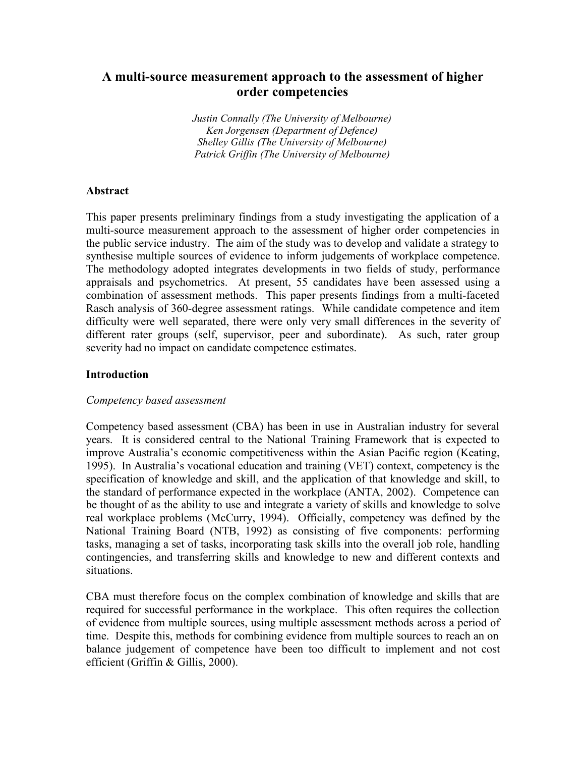# **A multi-source measurement approach to the assessment of higher order competencies**

*Justin Connally (The University of Melbourne) Ken Jorgensen (Department of Defence) Shelley Gillis (The University of Melbourne) Patrick Griffin (The University of Melbourne)*

#### **Abstract**

This paper presents preliminary findings from a study investigating the application of a multi-source measurement approach to the assessment of higher order competencies in the public service industry. The aim of the study was to develop and validate a strategy to synthesise multiple sources of evidence to inform judgements of workplace competence. The methodology adopted integrates developments in two fields of study, performance appraisals and psychometrics. At present, 55 candidates have been assessed using a combination of assessment methods. This paper presents findings from a multi-faceted Rasch analysis of 360-degree assessment ratings. While candidate competence and item difficulty were well separated, there were only very small differences in the severity of different rater groups (self, supervisor, peer and subordinate). As such, rater group severity had no impact on candidate competence estimates.

#### **Introduction**

#### *Competency based assessment*

Competency based assessment (CBA) has been in use in Australian industry for several years. It is considered central to the National Training Framework that is expected to improve Australia's economic competitiveness within the Asian Pacific region (Keating, 1995). In Australia's vocational education and training (VET) context, competency is the specification of knowledge and skill, and the application of that knowledge and skill, to the standard of performance expected in the workplace (ANTA, 2002). Competence can be thought of as the ability to use and integrate a variety of skills and knowledge to solve real workplace problems (McCurry, 1994). Officially, competency was defined by the National Training Board (NTB, 1992) as consisting of five components: performing tasks, managing a set of tasks, incorporating task skills into the overall job role, handling contingencies, and transferring skills and knowledge to new and different contexts and situations.

CBA must therefore focus on the complex combination of knowledge and skills that are required for successful performance in the workplace. This often requires the collection of evidence from multiple sources, using multiple assessment methods across a period of time. Despite this, methods for combining evidence from multiple sources to reach an on balance judgement of competence have been too difficult to implement and not cost efficient (Griffin & Gillis, 2000).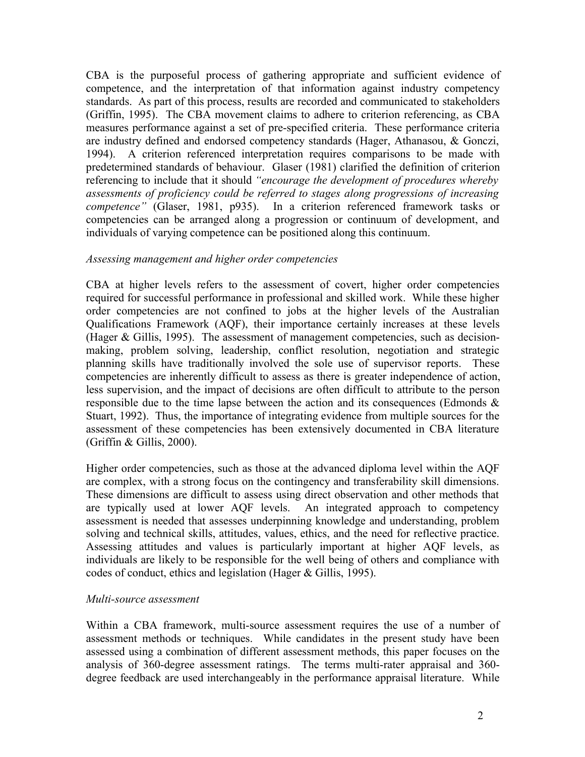CBA is the purposeful process of gathering appropriate and sufficient evidence of competence, and the interpretation of that information against industry competency standards. As part of this process, results are recorded and communicated to stakeholders (Griffin, 1995). The CBA movement claims to adhere to criterion referencing, as CBA measures performance against a set of pre-specified criteria. These performance criteria are industry defined and endorsed competency standards (Hager, Athanasou, & Gonczi, 1994). A criterion referenced interpretation requires comparisons to be made with predetermined standards of behaviour. Glaser (1981) clarified the definition of criterion referencing to include that it should *"encourage the development of procedures whereby assessments of proficiency could be referred to stages along progressions of increasing competence"* (Glaser, 1981, p935). In a criterion referenced framework tasks or competencies can be arranged along a progression or continuum of development, and individuals of varying competence can be positioned along this continuum.

### *Assessing management and higher order competencies*

CBA at higher levels refers to the assessment of covert, higher order competencies required for successful performance in professional and skilled work. While these higher order competencies are not confined to jobs at the higher levels of the Australian Qualifications Framework (AQF), their importance certainly increases at these levels (Hager & Gillis, 1995). The assessment of management competencies, such as decisionmaking, problem solving, leadership, conflict resolution, negotiation and strategic planning skills have traditionally involved the sole use of supervisor reports. These competencies are inherently difficult to assess as there is greater independence of action, less supervision, and the impact of decisions are often difficult to attribute to the person responsible due to the time lapse between the action and its consequences (Edmonds & Stuart, 1992). Thus, the importance of integrating evidence from multiple sources for the assessment of these competencies has been extensively documented in CBA literature (Griffin & Gillis, 2000).

Higher order competencies, such as those at the advanced diploma level within the AQF are complex, with a strong focus on the contingency and transferability skill dimensions. These dimensions are difficult to assess using direct observation and other methods that are typically used at lower AQF levels. An integrated approach to competency assessment is needed that assesses underpinning knowledge and understanding, problem solving and technical skills, attitudes, values, ethics, and the need for reflective practice. Assessing attitudes and values is particularly important at higher AQF levels, as individuals are likely to be responsible for the well being of others and compliance with codes of conduct, ethics and legislation (Hager & Gillis, 1995).

### *Multi-source assessment*

Within a CBA framework, multi-source assessment requires the use of a number of assessment methods or techniques. While candidates in the present study have been assessed using a combination of different assessment methods, this paper focuses on the analysis of 360-degree assessment ratings. The terms multi-rater appraisal and 360 degree feedback are used interchangeably in the performance appraisal literature. While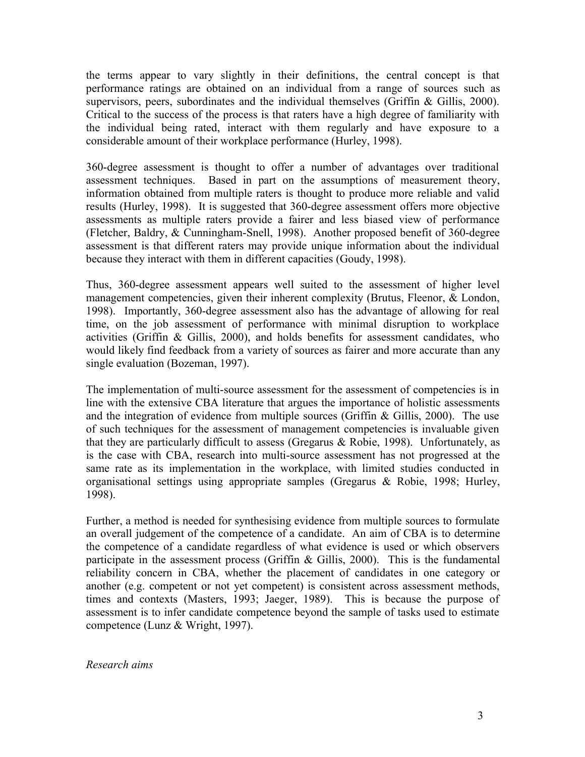the terms appear to vary slightly in their definitions, the central concept is that performance ratings are obtained on an individual from a range of sources such as supervisors, peers, subordinates and the individual themselves (Griffin & Gillis, 2000). Critical to the success of the process is that raters have a high degree of familiarity with the individual being rated, interact with them regularly and have exposure to a considerable amount of their workplace performance (Hurley, 1998).

360-degree assessment is thought to offer a number of advantages over traditional assessment techniques. Based in part on the assumptions of measurement theory, information obtained from multiple raters is thought to produce more reliable and valid results (Hurley, 1998). It is suggested that 360-degree assessment offers more objective assessments as multiple raters provide a fairer and less biased view of performance (Fletcher, Baldry, & Cunningham-Snell, 1998). Another proposed benefit of 360-degree assessment is that different raters may provide unique information about the individual because they interact with them in different capacities (Goudy, 1998).

Thus, 360-degree assessment appears well suited to the assessment of higher level management competencies, given their inherent complexity (Brutus, Fleenor, & London, 1998). Importantly, 360-degree assessment also has the advantage of allowing for real time, on the job assessment of performance with minimal disruption to workplace activities (Griffin & Gillis, 2000), and holds benefits for assessment candidates, who would likely find feedback from a variety of sources as fairer and more accurate than any single evaluation (Bozeman, 1997).

The implementation of multi-source assessment for the assessment of competencies is in line with the extensive CBA literature that argues the importance of holistic assessments and the integration of evidence from multiple sources (Griffin & Gillis, 2000). The use of such techniques for the assessment of management competencies is invaluable given that they are particularly difficult to assess (Gregarus  $\&$  Robie, 1998). Unfortunately, as is the case with CBA, research into multi-source assessment has not progressed at the same rate as its implementation in the workplace, with limited studies conducted in organisational settings using appropriate samples (Gregarus & Robie, 1998; Hurley, 1998).

Further, a method is needed for synthesising evidence from multiple sources to formulate an overall judgement of the competence of a candidate. An aim of CBA is to determine the competence of a candidate regardless of what evidence is used or which observers participate in the assessment process (Griffin  $\&$  Gillis, 2000). This is the fundamental reliability concern in CBA, whether the placement of candidates in one category or another (e.g. competent or not yet competent) is consistent across assessment methods, times and contexts (Masters, 1993; Jaeger, 1989). This is because the purpose of assessment is to infer candidate competence beyond the sample of tasks used to estimate competence (Lunz & Wright, 1997).

*Research aims*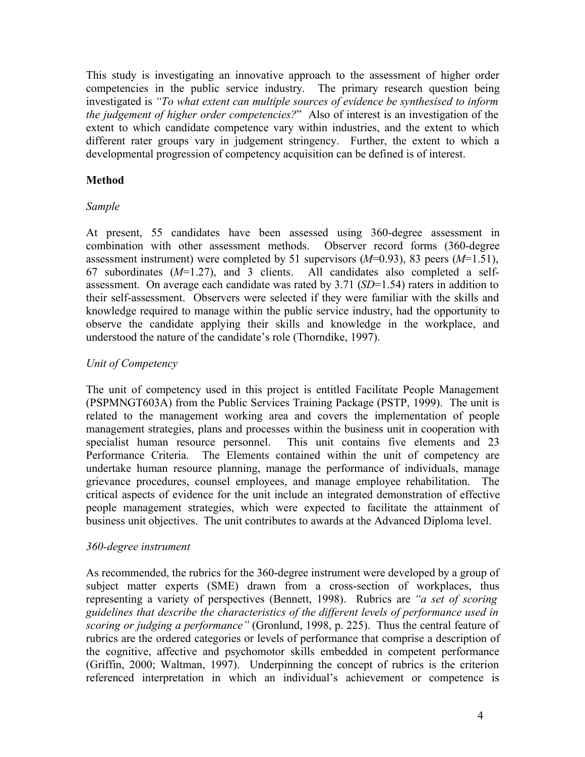This study is investigating an innovative approach to the assessment of higher order competencies in the public service industry. The primary research question being investigated is *"To what extent can multiple sources of evidence be synthesised to inform the judgement of higher order competencies?*" Also of interest is an investigation of the extent to which candidate competence vary within industries, and the extent to which different rater groups vary in judgement stringency. Further, the extent to which a developmental progression of competency acquisition can be defined is of interest.

# **Method**

## *Sample*

At present, 55 candidates have been assessed using 360-degree assessment in combination with other assessment methods. Observer record forms (360-degree assessment instrument) were completed by 51 supervisors (*M*=0.93), 83 peers (*M*=1.51), 67 subordinates (*M*=1.27), and 3 clients. All candidates also completed a selfassessment. On average each candidate was rated by 3.71 (*SD*=1.54) raters in addition to their self-assessment. Observers were selected if they were familiar with the skills and knowledge required to manage within the public service industry, had the opportunity to observe the candidate applying their skills and knowledge in the workplace, and understood the nature of the candidate's role (Thorndike, 1997).

# *Unit of Competency*

The unit of competency used in this project is entitled Facilitate People Management (PSPMNGT603A) from the Public Services Training Package (PSTP, 1999). The unit is related to the management working area and covers the implementation of people management strategies, plans and processes within the business unit in cooperation with specialist human resource personnel. This unit contains five elements and 23 Performance Criteria. The Elements contained within the unit of competency are undertake human resource planning, manage the performance of individuals, manage grievance procedures, counsel employees, and manage employee rehabilitation. The critical aspects of evidence for the unit include an integrated demonstration of effective people management strategies, which were expected to facilitate the attainment of business unit objectives. The unit contributes to awards at the Advanced Diploma level.

## *360-degree instrument*

As recommended, the rubrics for the 360-degree instrument were developed by a group of subject matter experts (SME) drawn from a cross-section of workplaces, thus representing a variety of perspectives (Bennett, 1998). Rubrics are *"a set of scoring guidelines that describe the characteristics of the different levels of performance used in scoring or judging a performance"* (Gronlund, 1998, p. 225). Thus the central feature of rubrics are the ordered categories or levels of performance that comprise a description of the cognitive, affective and psychomotor skills embedded in competent performance (Griffin, 2000; Waltman, 1997). Underpinning the concept of rubrics is the criterion referenced interpretation in which an individual's achievement or competence is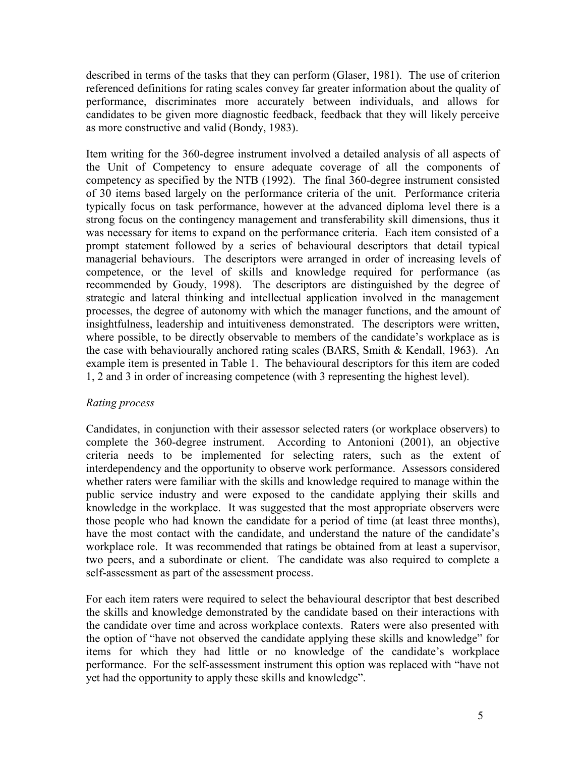described in terms of the tasks that they can perform (Glaser, 1981). The use of criterion referenced definitions for rating scales convey far greater information about the quality of performance, discriminates more accurately between individuals, and allows for candidates to be given more diagnostic feedback, feedback that they will likely perceive as more constructive and valid (Bondy, 1983).

Item writing for the 360-degree instrument involved a detailed analysis of all aspects of the Unit of Competency to ensure adequate coverage of all the components of competency as specified by the NTB (1992). The final 360-degree instrument consisted of 30 items based largely on the performance criteria of the unit. Performance criteria typically focus on task performance, however at the advanced diploma level there is a strong focus on the contingency management and transferability skill dimensions, thus it was necessary for items to expand on the performance criteria. Each item consisted of a prompt statement followed by a series of behavioural descriptors that detail typical managerial behaviours. The descriptors were arranged in order of increasing levels of competence, or the level of skills and knowledge required for performance (as recommended by Goudy, 1998). The descriptors are distinguished by the degree of strategic and lateral thinking and intellectual application involved in the management processes, the degree of autonomy with which the manager functions, and the amount of insightfulness, leadership and intuitiveness demonstrated. The descriptors were written, where possible, to be directly observable to members of the candidate's workplace as is the case with behaviourally anchored rating scales (BARS, Smith & Kendall, 1963). An example item is presented in Table 1. The behavioural descriptors for this item are coded 1, 2 and 3 in order of increasing competence (with 3 representing the highest level).

## *Rating process*

Candidates, in conjunction with their assessor selected raters (or workplace observers) to complete the 360-degree instrument. According to Antonioni (2001), an objective criteria needs to be implemented for selecting raters, such as the extent of interdependency and the opportunity to observe work performance. Assessors considered whether raters were familiar with the skills and knowledge required to manage within the public service industry and were exposed to the candidate applying their skills and knowledge in the workplace. It was suggested that the most appropriate observers were those people who had known the candidate for a period of time (at least three months), have the most contact with the candidate, and understand the nature of the candidate's workplace role. It was recommended that ratings be obtained from at least a supervisor, two peers, and a subordinate or client. The candidate was also required to complete a self-assessment as part of the assessment process.

For each item raters were required to select the behavioural descriptor that best described the skills and knowledge demonstrated by the candidate based on their interactions with the candidate over time and across workplace contexts. Raters were also presented with the option of "have not observed the candidate applying these skills and knowledge" for items for which they had little or no knowledge of the candidate's workplace performance. For the self-assessment instrument this option was replaced with "have not yet had the opportunity to apply these skills and knowledge".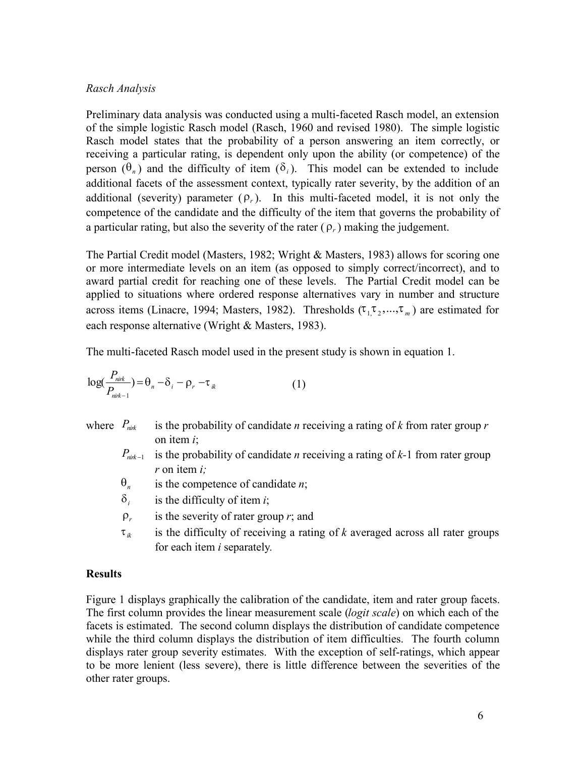### *Rasch Analysis*

Preliminary data analysis was conducted using a multi-faceted Rasch model, an extension of the simple logistic Rasch model (Rasch, 1960 and revised 1980). The simple logistic Rasch model states that the probability of a person answering an item correctly, or receiving a particular rating, is dependent only upon the ability (or competence) of the person  $(\theta_n)$  and the difficulty of item  $(\delta_i)$ . This model can be extended to include additional facets of the assessment context, typically rater severity, by the addition of an additional (severity) parameter  $(\rho_r)$ . In this multi-faceted model, it is not only the competence of the candidate and the difficulty of the item that governs the probability of a particular rating, but also the severity of the rater  $(\rho_r)$  making the judgement.

The Partial Credit model (Masters, 1982; Wright & Masters, 1983) allows for scoring one or more intermediate levels on an item (as opposed to simply correct/incorrect), and to award partial credit for reaching one of these levels. The Partial Credit model can be applied to situations where ordered response alternatives vary in number and structure across items (Linacre, 1994; Masters, 1982). Thresholds  $(\tau_1, \tau_2, ..., \tau_m)$  are estimated for each response alternative (Wright & Masters, 1983).

The multi-faceted Rasch model used in the present study is shown in equation 1.

$$
\log(\frac{P_{\text{nik}}}{P_{\text{nik}-1}}) = \theta_n - \delta_i - \rho_r - \tau_{ik}
$$
 (1)

- where  $P_{\textit{mix}}$  is the probability of candidate *n* receiving a rating of *k* from rater group *r* on item *i*;
	- $P_{\text{init-1}}$  is the probability of candidate *n* receiving a rating of *k*-1 from rater group *r* on item *i;*
	- $\theta_n$  is the competence of candidate *n*;
	- $\delta_i$ is the difficulty of item *i*;
	- $\rho_r$  is the severity of rater group *r*; and
	- $\tau_{ik}$  is the difficulty of receiving a rating of *k* averaged across all rater groups for each item *i* separately*.*

## **Results**

Figure 1 displays graphically the calibration of the candidate, item and rater group facets. The first column provides the linear measurement scale (*logit scale*) on which each of the facets is estimated. The second column displays the distribution of candidate competence while the third column displays the distribution of item difficulties. The fourth column displays rater group severity estimates. With the exception of self-ratings, which appear to be more lenient (less severe), there is little difference between the severities of the other rater groups.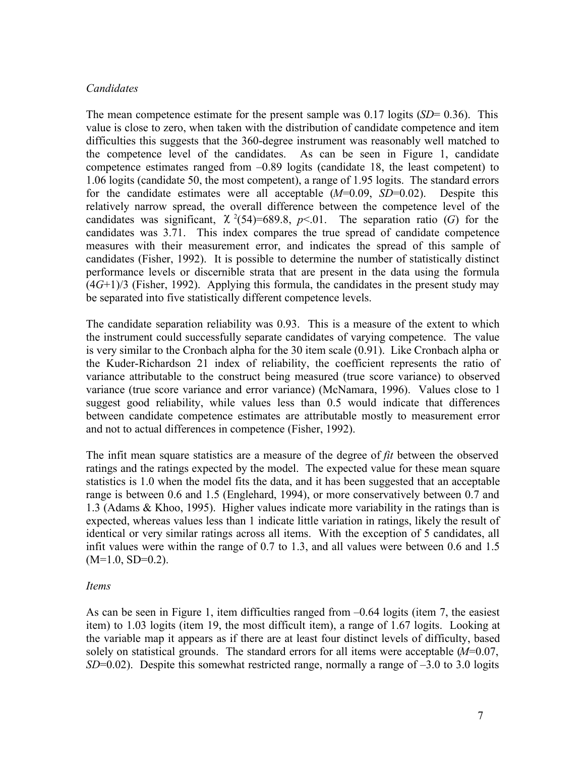### *Candidates*

The mean competence estimate for the present sample was 0.17 logits (*SD*= 0.36). This value is close to zero, when taken with the distribution of candidate competence and item difficulties this suggests that the 360-degree instrument was reasonably well matched to the competence level of the candidates. As can be seen in Figure 1, candidate competence estimates ranged from –0.89 logits (candidate 18, the least competent) to 1.06 logits (candidate 50, the most competent), a range of 1.95 logits. The standard errors for the candidate estimates were all acceptable (*M*=0.09, *SD*=0.02). Despite this relatively narrow spread, the overall difference between the competence level of the candidates was significant,  $\chi^2(54)=689.8$ ,  $p<01$ . The separation ratio (*G*) for the candidates was 3.71. This index compares the true spread of candidate competence measures with their measurement error, and indicates the spread of this sample of candidates (Fisher, 1992). It is possible to determine the number of statistically distinct performance levels or discernible strata that are present in the data using the formula (4*G*+1)/3 (Fisher, 1992). Applying this formula, the candidates in the present study may be separated into five statistically different competence levels.

The candidate separation reliability was 0.93. This is a measure of the extent to which the instrument could successfully separate candidates of varying competence. The value is very similar to the Cronbach alpha for the 30 item scale (0.91). Like Cronbach alpha or the Kuder-Richardson 21 index of reliability, the coefficient represents the ratio of variance attributable to the construct being measured (true score variance) to observed variance (true score variance and error variance) (McNamara, 1996). Values close to 1 suggest good reliability, while values less than 0.5 would indicate that differences between candidate competence estimates are attributable mostly to measurement error and not to actual differences in competence (Fisher, 1992).

The infit mean square statistics are a measure of the degree of *fit* between the observed ratings and the ratings expected by the model. The expected value for these mean square statistics is 1.0 when the model fits the data, and it has been suggested that an acceptable range is between 0.6 and 1.5 (Englehard, 1994), or more conservatively between 0.7 and 1.3 (Adams & Khoo, 1995). Higher values indicate more variability in the ratings than is expected, whereas values less than 1 indicate little variation in ratings, likely the result of identical or very similar ratings across all items. With the exception of 5 candidates, all infit values were within the range of 0.7 to 1.3, and all values were between 0.6 and 1.5  $(M=1.0, SD=0.2)$ .

### *Items*

As can be seen in Figure 1, item difficulties ranged from  $-0.64$  logits (item 7, the easiest item) to 1.03 logits (item 19, the most difficult item), a range of 1.67 logits. Looking at the variable map it appears as if there are at least four distinct levels of difficulty, based solely on statistical grounds. The standard errors for all items were acceptable (*M*=0.07, *SD*=0.02). Despite this somewhat restricted range, normally a range of  $-3.0$  to 3.0 logits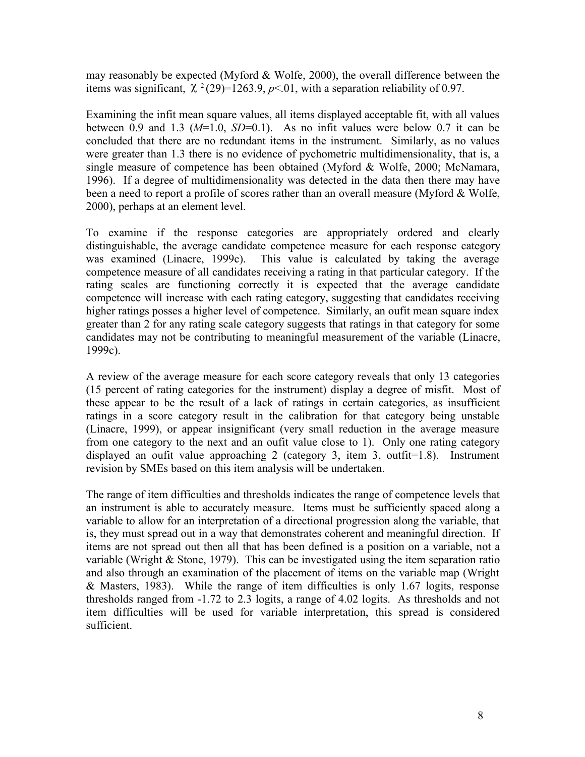may reasonably be expected (Myford & Wolfe, 2000), the overall difference between the items was significant,  $\chi^2(29)=1263.9$ ,  $p<01$ , with a separation reliability of 0.97.

Examining the infit mean square values, all items displayed acceptable fit, with all values between 0.9 and 1.3  $(M=1.0, SD=0.1)$ . As no infit values were below 0.7 it can be concluded that there are no redundant items in the instrument. Similarly, as no values were greater than 1.3 there is no evidence of pychometric multidimensionality, that is, a single measure of competence has been obtained (Myford & Wolfe, 2000; McNamara, 1996). If a degree of multidimensionality was detected in the data then there may have been a need to report a profile of scores rather than an overall measure (Myford & Wolfe, 2000), perhaps at an element level.

To examine if the response categories are appropriately ordered and clearly distinguishable, the average candidate competence measure for each response category was examined (Linacre, 1999c). This value is calculated by taking the average competence measure of all candidates receiving a rating in that particular category. If the rating scales are functioning correctly it is expected that the average candidate competence will increase with each rating category, suggesting that candidates receiving higher ratings posses a higher level of competence. Similarly, an oufit mean square index greater than 2 for any rating scale category suggests that ratings in that category for some candidates may not be contributing to meaningful measurement of the variable (Linacre, 1999c).

A review of the average measure for each score category reveals that only 13 categories (15 percent of rating categories for the instrument) display a degree of misfit. Most of these appear to be the result of a lack of ratings in certain categories, as insufficient ratings in a score category result in the calibration for that category being unstable (Linacre, 1999), or appear insignificant (very small reduction in the average measure from one category to the next and an oufit value close to 1). Only one rating category displayed an oufit value approaching 2 (category 3, item 3, outfit=1.8). Instrument revision by SMEs based on this item analysis will be undertaken.

The range of item difficulties and thresholds indicates the range of competence levels that an instrument is able to accurately measure. Items must be sufficiently spaced along a variable to allow for an interpretation of a directional progression along the variable, that is, they must spread out in a way that demonstrates coherent and meaningful direction. If items are not spread out then all that has been defined is a position on a variable, not a variable (Wright  $&$  Stone, 1979). This can be investigated using the item separation ratio and also through an examination of the placement of items on the variable map (Wright & Masters, 1983). While the range of item difficulties is only 1.67 logits, response thresholds ranged from -1.72 to 2.3 logits, a range of 4.02 logits. As thresholds and not item difficulties will be used for variable interpretation, this spread is considered sufficient.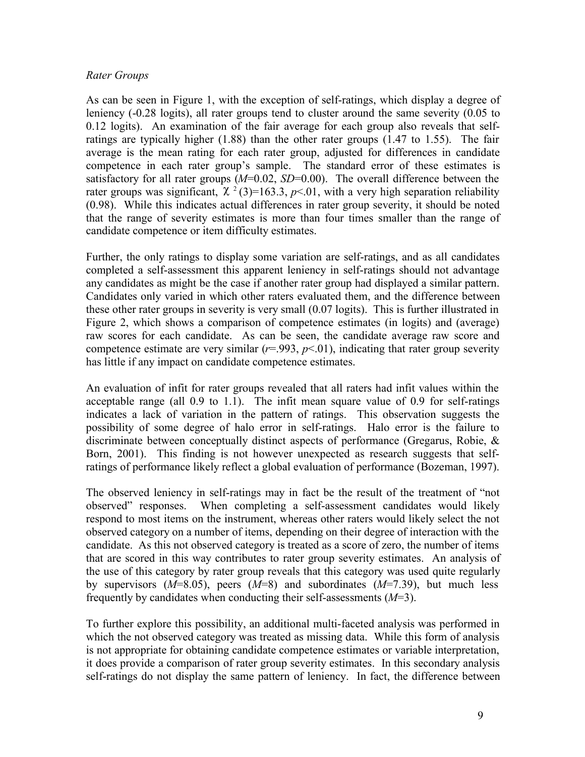### *Rater Groups*

As can be seen in Figure 1, with the exception of self-ratings, which display a degree of leniency (-0.28 logits), all rater groups tend to cluster around the same severity (0.05 to 0.12 logits). An examination of the fair average for each group also reveals that selfratings are typically higher (1.88) than the other rater groups (1.47 to 1.55). The fair average is the mean rating for each rater group, adjusted for differences in candidate competence in each rater group's sample. The standard error of these estimates is satisfactory for all rater groups ( $M=0.02$ ,  $SD=0.00$ ). The overall difference between the rater groups was significant,  $\chi^2(3)=163.3$ ,  $p<.01$ , with a very high separation reliability (0.98). While this indicates actual differences in rater group severity, it should be noted that the range of severity estimates is more than four times smaller than the range of candidate competence or item difficulty estimates.

Further, the only ratings to display some variation are self-ratings, and as all candidates completed a self-assessment this apparent leniency in self-ratings should not advantage any candidates as might be the case if another rater group had displayed a similar pattern. Candidates only varied in which other raters evaluated them, and the difference between these other rater groups in severity is very small (0.07 logits). This is further illustrated in Figure 2, which shows a comparison of competence estimates (in logits) and (average) raw scores for each candidate. As can be seen, the candidate average raw score and competence estimate are very similar  $(r=0.993, p<0.01)$ , indicating that rater group severity has little if any impact on candidate competence estimates.

An evaluation of infit for rater groups revealed that all raters had infit values within the acceptable range (all 0.9 to 1.1). The infit mean square value of 0.9 for self-ratings indicates a lack of variation in the pattern of ratings. This observation suggests the possibility of some degree of halo error in self-ratings. Halo error is the failure to discriminate between conceptually distinct aspects of performance (Gregarus, Robie, & Born, 2001). This finding is not however unexpected as research suggests that selfratings of performance likely reflect a global evaluation of performance (Bozeman, 1997).

The observed leniency in self-ratings may in fact be the result of the treatment of "not observed" responses. When completing a self-assessment candidates would likely respond to most items on the instrument, whereas other raters would likely select the not observed category on a number of items, depending on their degree of interaction with the candidate. As this not observed category is treated as a score of zero, the number of items that are scored in this way contributes to rater group severity estimates. An analysis of the use of this category by rater group reveals that this category was used quite regularly by supervisors (*M*=8.05), peers (*M*=8) and subordinates (*M*=7.39), but much less frequently by candidates when conducting their self-assessments (*M*=3).

To further explore this possibility, an additional multi-faceted analysis was performed in which the not observed category was treated as missing data. While this form of analysis is not appropriate for obtaining candidate competence estimates or variable interpretation, it does provide a comparison of rater group severity estimates. In this secondary analysis self-ratings do not display the same pattern of leniency. In fact, the difference between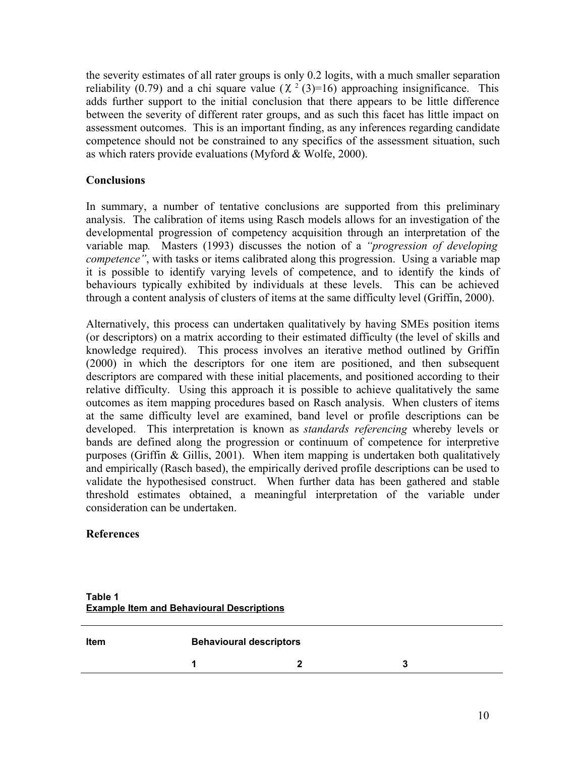the severity estimates of all rater groups is only 0.2 logits, with a much smaller separation reliability (0.79) and a chi square value ( $\chi^2$  (3)=16) approaching insignificance. This adds further support to the initial conclusion that there appears to be little difference between the severity of different rater groups, and as such this facet has little impact on assessment outcomes. This is an important finding, as any inferences regarding candidate competence should not be constrained to any specifics of the assessment situation, such as which raters provide evaluations (Myford & Wolfe, 2000).

## **Conclusions**

In summary, a number of tentative conclusions are supported from this preliminary analysis. The calibration of items using Rasch models allows for an investigation of the developmental progression of competency acquisition through an interpretation of the variable map*.* Masters (1993) discusses the notion of a *"progression of developing competence"*, with tasks or items calibrated along this progression. Using a variable map it is possible to identify varying levels of competence, and to identify the kinds of behaviours typically exhibited by individuals at these levels. This can be achieved through a content analysis of clusters of items at the same difficulty level (Griffin, 2000).

Alternatively, this process can undertaken qualitatively by having SMEs position items (or descriptors) on a matrix according to their estimated difficulty (the level of skills and knowledge required). This process involves an iterative method outlined by Griffin (2000) in which the descriptors for one item are positioned, and then subsequent descriptors are compared with these initial placements, and positioned according to their relative difficulty. Using this approach it is possible to achieve qualitatively the same outcomes as item mapping procedures based on Rasch analysis. When clusters of items at the same difficulty level are examined, band level or profile descriptions can be developed. This interpretation is known as *standards referencing* whereby levels or bands are defined along the progression or continuum of competence for interpretive purposes (Griffin & Gillis, 2001). When item mapping is undertaken both qualitatively and empirically (Rasch based), the empirically derived profile descriptions can be used to validate the hypothesised construct. When further data has been gathered and stable threshold estimates obtained, a meaningful interpretation of the variable under consideration can be undertaken.

### **References**

| <b>Item</b> | <b>Behavioural descriptors</b> |  |  |
|-------------|--------------------------------|--|--|
|             |                                |  |  |

**Table 1 Example Item and Behavioural Descriptions**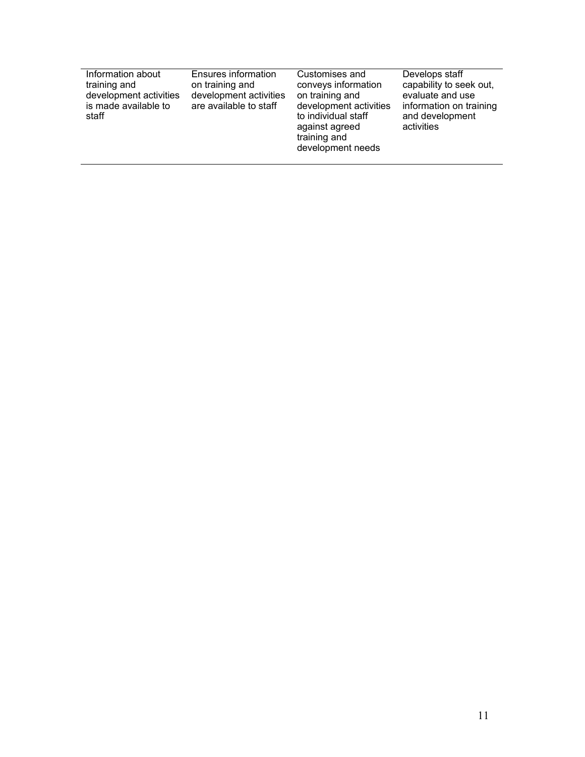| Information about<br>training and<br>development activities<br>is made available to<br>staff | Ensures information<br>on training and<br>development activities<br>are available to staff | Customises and<br>conveys information<br>on training and<br>development activities<br>to individual staff<br>against agreed<br>training and<br>development needs | Develops staff<br>capability to seek out,<br>evaluate and use<br>information on training<br>and development<br>activities |
|----------------------------------------------------------------------------------------------|--------------------------------------------------------------------------------------------|------------------------------------------------------------------------------------------------------------------------------------------------------------------|---------------------------------------------------------------------------------------------------------------------------|
|                                                                                              |                                                                                            |                                                                                                                                                                  |                                                                                                                           |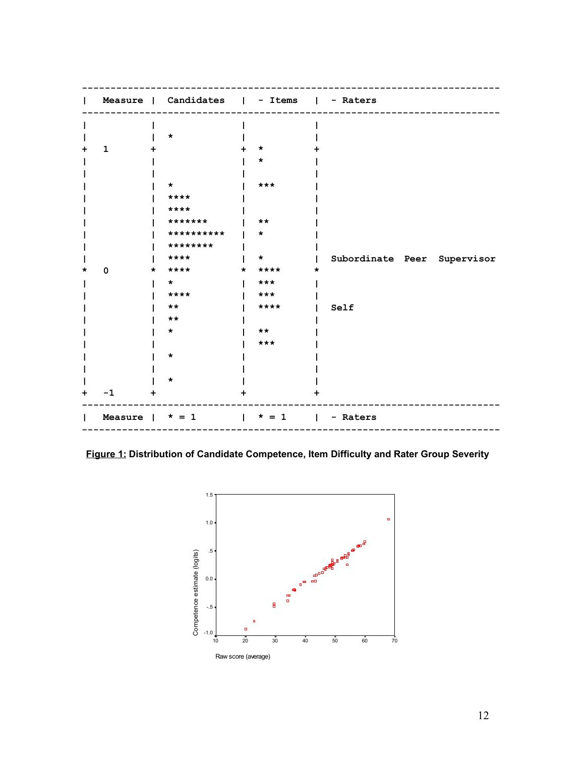|   |                       |           | Measure   Candidates   - Items   - Raters |         |                                     |                             |
|---|-----------------------|-----------|-------------------------------------------|---------|-------------------------------------|-----------------------------|
|   |                       |           |                                           |         |                                     |                             |
|   |                       |           | *                                         |         |                                     |                             |
|   | $\mathbf{1}$          |           |                                           |         | *                                   |                             |
|   |                       |           |                                           |         | $\star$                             |                             |
|   |                       |           |                                           |         |                                     |                             |
|   |                       |           | *                                         |         | $***$                               |                             |
|   |                       |           | ****                                      |         |                                     |                             |
|   |                       |           | ****                                      |         |                                     |                             |
|   |                       |           | *******                                   |         | $***$                               |                             |
|   |                       |           | **********                                |         | $\star$                             |                             |
|   |                       |           | ********                                  |         |                                     |                             |
|   |                       |           | ****                                      |         | $\star$                             | Subordinate Peer Supervisor |
|   | $\mathbf 0$           | *         | ****                                      | $\star$ | $***$ *                             |                             |
|   |                       |           | $\star$ .                                 |         | $***$                               |                             |
|   |                       |           | ****                                      |         | ***                                 |                             |
|   |                       |           | $***$                                     |         | ****                                | Self                        |
|   |                       |           | $***$                                     |         |                                     |                             |
|   |                       |           | $\star$                                   |         | $***$                               |                             |
|   |                       |           |                                           |         | $***$                               |                             |
|   |                       |           | *                                         |         |                                     |                             |
|   |                       |           |                                           |         |                                     |                             |
|   |                       |           | *                                         |         |                                     |                             |
| ٠ | $-1$                  | $\ddot{}$ |                                           |         |                                     |                             |
|   | Measure $\vert$ * = 1 |           |                                           |         | $\vert * = 1 \vert - \text{Raters}$ |                             |

**Figure 1: Distribution of Candidate Competence, Item Difficulty and Rater Group Severity**